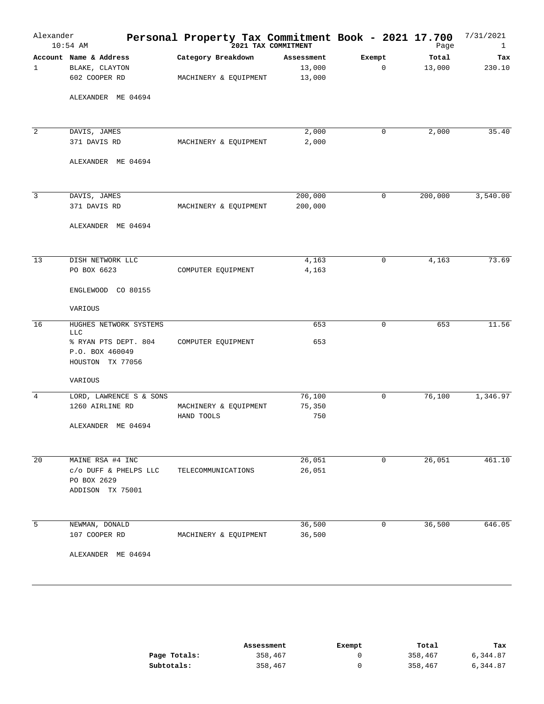| Alexander      | $10:54$ AM                                                  | Personal Property Tax Commitment Book - 2021 17.700<br>2021 TAX COMMITMENT |            |        | Page    | 7/31/2021<br>$\mathbf{1}$ |
|----------------|-------------------------------------------------------------|----------------------------------------------------------------------------|------------|--------|---------|---------------------------|
|                | Account Name & Address                                      | Category Breakdown                                                         | Assessment | Exempt | Total   | Tax                       |
| 1              | BLAKE, CLAYTON                                              |                                                                            | 13,000     | 0      | 13,000  | 230.10                    |
|                | 602 COOPER RD                                               | MACHINERY & EQUIPMENT                                                      | 13,000     |        |         |                           |
|                | ALEXANDER ME 04694                                          |                                                                            |            |        |         |                           |
|                |                                                             |                                                                            |            |        |         |                           |
| 2              | DAVIS, JAMES                                                |                                                                            | 2,000      | 0      | 2,000   | 35.40                     |
|                | 371 DAVIS RD                                                | MACHINERY & EQUIPMENT                                                      | 2,000      |        |         |                           |
|                | ALEXANDER ME 04694                                          |                                                                            |            |        |         |                           |
| $\overline{3}$ | DAVIS, JAMES                                                |                                                                            | 200,000    | 0      | 200,000 | 3,540.00                  |
|                | 371 DAVIS RD                                                | MACHINERY & EQUIPMENT                                                      | 200,000    |        |         |                           |
|                | ALEXANDER ME 04694                                          |                                                                            |            |        |         |                           |
|                | DISH NETWORK LLC                                            |                                                                            | 4,163      | 0      | 4,163   | 73.69                     |
| 13             | PO BOX 6623                                                 | COMPUTER EQUIPMENT                                                         | 4,163      |        |         |                           |
|                | ENGLEWOOD CO 80155                                          |                                                                            |            |        |         |                           |
|                | VARIOUS                                                     |                                                                            |            |        |         |                           |
| 16             | HUGHES NETWORK SYSTEMS<br><b>LLC</b>                        |                                                                            | 653        | 0      | 653     | 11.56                     |
|                | % RYAN PTS DEPT. 804<br>P.O. BOX 460049<br>HOUSTON TX 77056 | COMPUTER EQUIPMENT                                                         | 653        |        |         |                           |
|                | VARIOUS                                                     |                                                                            |            |        |         |                           |
| $\overline{4}$ | LORD, LAWRENCE S & SONS                                     |                                                                            | 76,100     | 0      | 76,100  | 1,346.97                  |
|                | 1260 AIRLINE RD                                             | MACHINERY & EQUIPMENT                                                      | 75,350     |        |         |                           |
|                |                                                             | HAND TOOLS                                                                 | 750        |        |         |                           |
|                | ALEXANDER ME 04694                                          |                                                                            |            |        |         |                           |
| 20             | MAINE RSA #4 INC                                            |                                                                            | 26,051     | 0      | 26,051  | 461.10                    |
|                | c/o DUFF & PHELPS LLC                                       | TELECOMMUNICATIONS                                                         | 26,051     |        |         |                           |
|                | PO BOX 2629<br>ADDISON TX 75001                             |                                                                            |            |        |         |                           |
| 5              | NEWMAN, DONALD                                              |                                                                            | 36,500     | 0      | 36,500  | 646.05                    |
|                | 107 COOPER RD                                               | MACHINERY & EQUIPMENT                                                      | 36,500     |        |         |                           |
|                | ALEXANDER ME 04694                                          |                                                                            |            |        |         |                           |

|              | Assessment | Exempt | Total   | Tax      |
|--------------|------------|--------|---------|----------|
| Page Totals: | 358,467    |        | 358,467 | 6,344.87 |
| Subtotals:   | 358,467    |        | 358,467 | 6,344.87 |